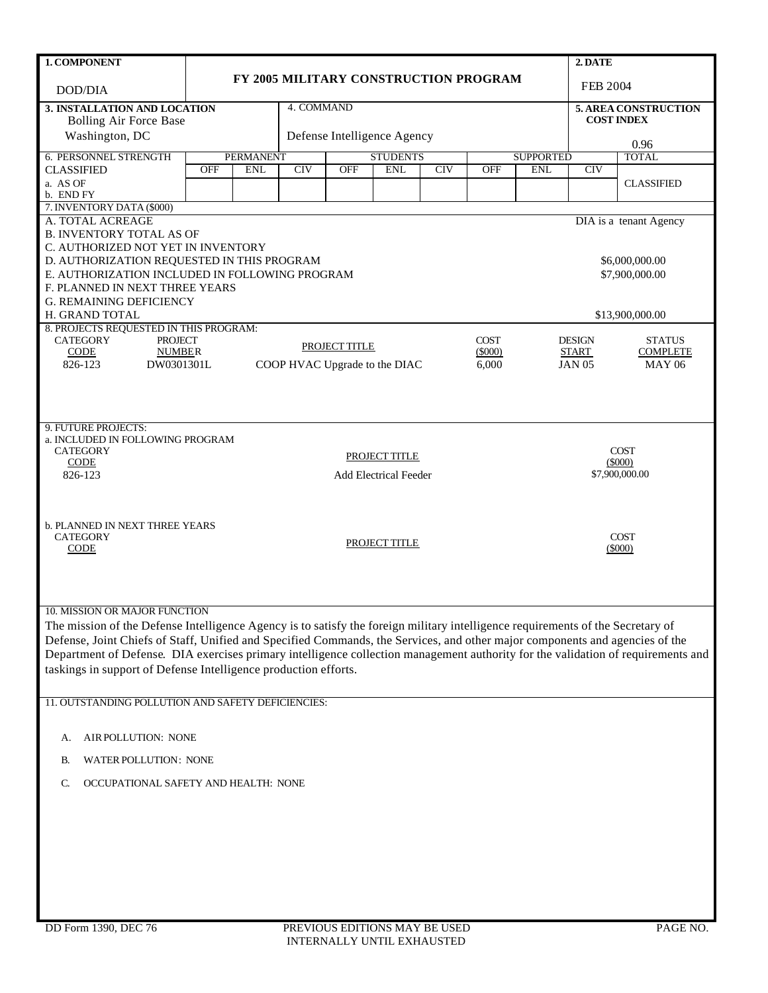| 1. COMPONENT                                                                                                                     |                                       |                                |            |               |                               |     | 2. DATE            |                                           |                               |                                  |  |
|----------------------------------------------------------------------------------------------------------------------------------|---------------------------------------|--------------------------------|------------|---------------|-------------------------------|-----|--------------------|-------------------------------------------|-------------------------------|----------------------------------|--|
| DOD/DIA                                                                                                                          | FY 2005 MILITARY CONSTRUCTION PROGRAM |                                |            |               |                               |     | FEB 2004           |                                           |                               |                                  |  |
| 3. INSTALLATION AND LOCATION                                                                                                     |                                       | 4. COMMAND                     |            |               |                               |     |                    | 5. AREA CONSTRUCTION<br><b>COST INDEX</b> |                               |                                  |  |
| <b>Bolling Air Force Base</b><br>Washington, DC                                                                                  |                                       |                                |            |               |                               |     |                    |                                           |                               |                                  |  |
|                                                                                                                                  |                                       |                                |            |               | Defense Intelligence Agency   |     |                    |                                           |                               | 0.96                             |  |
| 6. PERSONNEL STRENGTH<br><b>CLASSIFIED</b>                                                                                       | <b>OFF</b>                            | <b>PERMANENT</b><br><b>ENL</b> | <b>CIV</b> | <b>OFF</b>    | <b>STUDENTS</b><br><b>ENL</b> | CIV | <b>OFF</b>         | <b>SUPPORTED</b><br><b>ENL</b>            | <b>CIV</b>                    | <b>TOTAL</b>                     |  |
| a. AS OF                                                                                                                         |                                       |                                |            |               |                               |     |                    |                                           |                               | <b>CLASSIFIED</b>                |  |
| b. END FY                                                                                                                        |                                       |                                |            |               |                               |     |                    |                                           |                               |                                  |  |
| 7. INVENTORY DATA (\$000)<br>A. TOTAL ACREAGE                                                                                    |                                       |                                |            |               |                               |     |                    |                                           |                               | DIA is a tenant Agency           |  |
| <b>B. INVENTORY TOTAL AS OF</b>                                                                                                  |                                       |                                |            |               |                               |     |                    |                                           |                               |                                  |  |
| C. AUTHORIZED NOT YET IN INVENTORY                                                                                               |                                       |                                |            |               |                               |     |                    |                                           |                               |                                  |  |
| D. AUTHORIZATION REQUESTED IN THIS PROGRAM                                                                                       |                                       |                                |            |               |                               |     |                    |                                           |                               | \$6,000,000.00                   |  |
| E. AUTHORIZATION INCLUDED IN FOLLOWING PROGRAM                                                                                   |                                       |                                |            |               |                               |     |                    |                                           |                               | \$7,900,000.00                   |  |
| F. PLANNED IN NEXT THREE YEARS<br><b>G. REMAINING DEFICIENCY</b>                                                                 |                                       |                                |            |               |                               |     |                    |                                           |                               |                                  |  |
| H. GRAND TOTAL                                                                                                                   |                                       |                                |            |               |                               |     |                    |                                           |                               | \$13,900,000.00                  |  |
| 8. PROJECTS REQUESTED IN THIS PROGRAM:                                                                                           |                                       |                                |            |               |                               |     |                    |                                           |                               |                                  |  |
| <b>CATEGORY</b><br><b>PROJECT</b>                                                                                                |                                       |                                |            | PROJECT TITLE |                               |     | <b>COST</b>        |                                           | <b>DESIGN</b>                 | <b>STATUS</b>                    |  |
| CODE<br><b>NUMBER</b><br>826-123<br>DW0301301L                                                                                   |                                       |                                |            |               | COOP HVAC Upgrade to the DIAC |     | $(\$000)$<br>6,000 |                                           | <b>START</b><br><b>JAN 05</b> | <b>COMPLETE</b><br><b>MAY 06</b> |  |
|                                                                                                                                  |                                       |                                |            |               |                               |     |                    |                                           |                               |                                  |  |
|                                                                                                                                  |                                       |                                |            |               |                               |     |                    |                                           |                               |                                  |  |
|                                                                                                                                  |                                       |                                |            |               |                               |     |                    |                                           |                               |                                  |  |
| 9. FUTURE PROJECTS:                                                                                                              |                                       |                                |            |               |                               |     |                    |                                           |                               |                                  |  |
| a. INCLUDED IN FOLLOWING PROGRAM                                                                                                 |                                       |                                |            |               |                               |     |                    |                                           |                               |                                  |  |
| <b>CATEGORY</b><br><b>CODE</b>                                                                                                   | PROJECT TITLE                         |                                |            |               |                               |     |                    | <b>COST</b><br>$(\$000)$                  |                               |                                  |  |
| 826-123                                                                                                                          |                                       |                                |            |               | <b>Add Electrical Feeder</b>  |     |                    |                                           | \$7,900,000.00                |                                  |  |
|                                                                                                                                  |                                       |                                |            |               |                               |     |                    |                                           |                               |                                  |  |
|                                                                                                                                  |                                       |                                |            |               |                               |     |                    |                                           |                               |                                  |  |
| <b>b. PLANNED IN NEXT THREE YEARS</b>                                                                                            |                                       |                                |            |               |                               |     |                    |                                           |                               |                                  |  |
| <b>COST</b><br><b>CATEGORY</b><br>PROJECT TITLE                                                                                  |                                       |                                |            |               |                               |     |                    |                                           |                               |                                  |  |
|                                                                                                                                  | <b>CODE</b><br>$(\$000)$              |                                |            |               |                               |     |                    |                                           |                               |                                  |  |
|                                                                                                                                  |                                       |                                |            |               |                               |     |                    |                                           |                               |                                  |  |
|                                                                                                                                  |                                       |                                |            |               |                               |     |                    |                                           |                               |                                  |  |
| 10. MISSION OR MAJOR FUNCTION                                                                                                    |                                       |                                |            |               |                               |     |                    |                                           |                               |                                  |  |
| The mission of the Defense Intelligence Agency is to satisfy the foreign military intelligence requirements of the Secretary of  |                                       |                                |            |               |                               |     |                    |                                           |                               |                                  |  |
| Defense, Joint Chiefs of Staff, Unified and Specified Commands, the Services, and other major components and agencies of the     |                                       |                                |            |               |                               |     |                    |                                           |                               |                                  |  |
| Department of Defense. DIA exercises primary intelligence collection management authority for the validation of requirements and |                                       |                                |            |               |                               |     |                    |                                           |                               |                                  |  |
| taskings in support of Defense Intelligence production efforts.                                                                  |                                       |                                |            |               |                               |     |                    |                                           |                               |                                  |  |
|                                                                                                                                  |                                       |                                |            |               |                               |     |                    |                                           |                               |                                  |  |
| 11. OUTSTANDING POLLUTION AND SAFETY DEFICIENCIES:                                                                               |                                       |                                |            |               |                               |     |                    |                                           |                               |                                  |  |
|                                                                                                                                  |                                       |                                |            |               |                               |     |                    |                                           |                               |                                  |  |
| AIR POLLUTION: NONE<br>А.                                                                                                        |                                       |                                |            |               |                               |     |                    |                                           |                               |                                  |  |
| <b>WATER POLLUTION: NONE</b><br>В.                                                                                               |                                       |                                |            |               |                               |     |                    |                                           |                               |                                  |  |
|                                                                                                                                  |                                       |                                |            |               |                               |     |                    |                                           |                               |                                  |  |
| OCCUPATIONAL SAFETY AND HEALTH: NONE<br>C.                                                                                       |                                       |                                |            |               |                               |     |                    |                                           |                               |                                  |  |
|                                                                                                                                  |                                       |                                |            |               |                               |     |                    |                                           |                               |                                  |  |
|                                                                                                                                  |                                       |                                |            |               |                               |     |                    |                                           |                               |                                  |  |
|                                                                                                                                  |                                       |                                |            |               |                               |     |                    |                                           |                               |                                  |  |
|                                                                                                                                  |                                       |                                |            |               |                               |     |                    |                                           |                               |                                  |  |
|                                                                                                                                  |                                       |                                |            |               |                               |     |                    |                                           |                               |                                  |  |
|                                                                                                                                  |                                       |                                |            |               |                               |     |                    |                                           |                               |                                  |  |
|                                                                                                                                  |                                       |                                |            |               |                               |     |                    |                                           |                               |                                  |  |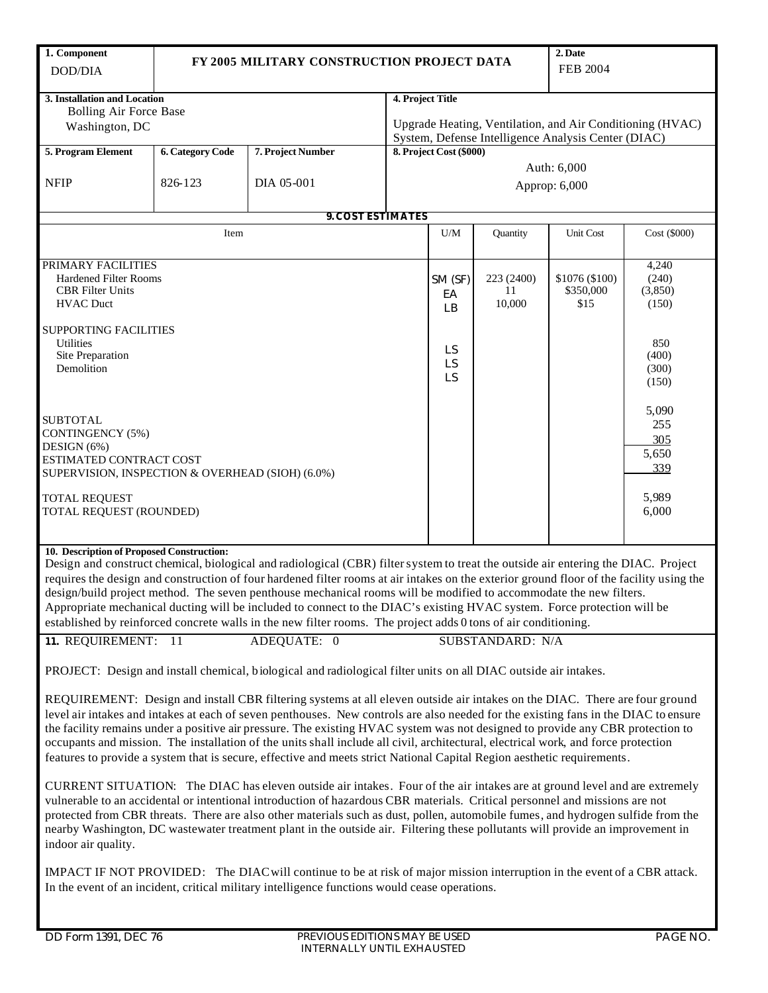| 1. Component<br>DOD/DIA                                                                                                                                                                                                                                                                                                                                                                                                                                                                                                                                                                                                                                                                        | FY 2005 MILITARY CONSTRUCTION PROJECT DATA | 2. Date<br><b>FEB 2004</b> |                                                                                                                                      |                           |                            |                                     |                                                    |  |
|------------------------------------------------------------------------------------------------------------------------------------------------------------------------------------------------------------------------------------------------------------------------------------------------------------------------------------------------------------------------------------------------------------------------------------------------------------------------------------------------------------------------------------------------------------------------------------------------------------------------------------------------------------------------------------------------|--------------------------------------------|----------------------------|--------------------------------------------------------------------------------------------------------------------------------------|---------------------------|----------------------------|-------------------------------------|----------------------------------------------------|--|
| 3. Installation and Location<br><b>Bolling Air Force Base</b><br>Washington, DC                                                                                                                                                                                                                                                                                                                                                                                                                                                                                                                                                                                                                |                                            |                            | 4. Project Title<br>Upgrade Heating, Ventilation, and Air Conditioning (HVAC)<br>System, Defense Intelligence Analysis Center (DIAC) |                           |                            |                                     |                                                    |  |
| 5. Program Element                                                                                                                                                                                                                                                                                                                                                                                                                                                                                                                                                                                                                                                                             | <b>6. Category Code</b>                    | 8. Project Cost (\$000)    |                                                                                                                                      |                           |                            |                                     |                                                    |  |
| <b>NFIP</b>                                                                                                                                                                                                                                                                                                                                                                                                                                                                                                                                                                                                                                                                                    | 826-123                                    |                            | Auth: 6,000<br>Approp: 6,000                                                                                                         |                           |                            |                                     |                                                    |  |
|                                                                                                                                                                                                                                                                                                                                                                                                                                                                                                                                                                                                                                                                                                |                                            | <b>9. COST ESTIMATES</b>   |                                                                                                                                      |                           |                            |                                     |                                                    |  |
|                                                                                                                                                                                                                                                                                                                                                                                                                                                                                                                                                                                                                                                                                                | Item                                       |                            |                                                                                                                                      | U/M                       | Quantity                   | Unit Cost                           | Cost (\$000)                                       |  |
| PRIMARY FACILITIES<br><b>Hardened Filter Rooms</b><br><b>CBR</b> Filter Units<br><b>HVAC Duct</b><br><b>SUPPORTING FACILITIES</b><br><b>Utilities</b><br>Site Preparation                                                                                                                                                                                                                                                                                                                                                                                                                                                                                                                      |                                            |                            |                                                                                                                                      | SM (SF)<br>EA<br>LB<br>LS | 223 (2400)<br>11<br>10,000 | \$1076 (\$100)<br>\$350,000<br>\$15 | 4,240<br>(240)<br>(3,850)<br>(150)<br>850<br>(400) |  |
| Demolition                                                                                                                                                                                                                                                                                                                                                                                                                                                                                                                                                                                                                                                                                     |                                            |                            |                                                                                                                                      | LS<br>LS                  |                            |                                     | (300)<br>(150)                                     |  |
| <b>SUBTOTAL</b><br>CONTINGENCY (5%)<br>DESIGN (6%)<br>ESTIMATED CONTRACT COST<br>SUPERVISION, INSPECTION & OVERHEAD (SIOH) (6.0%)                                                                                                                                                                                                                                                                                                                                                                                                                                                                                                                                                              |                                            |                            |                                                                                                                                      |                           |                            |                                     | 5,090<br>255<br>305<br>5,650<br>339                |  |
| <b>TOTAL REQUEST</b><br>TOTAL REQUEST (ROUNDED)                                                                                                                                                                                                                                                                                                                                                                                                                                                                                                                                                                                                                                                |                                            |                            |                                                                                                                                      |                           |                            |                                     | 5,989<br>6,000                                     |  |
| 10. Description of Proposed Construction:<br>Design and construct chemical, biological and radiological (CBR) filter system to treat the outside air entering the DIAC. Project<br>requires the design and construction of four hardened filter rooms at air intakes on the exterior ground floor of the facility using the<br>design/build project method. The seven penthouse mechanical rooms will be modified to accommodate the new filters.<br>Appropriate mechanical ducting will be included to connect to the DIAC's existing HVAC system. Force protection will be<br>established by reinforced concrete walls in the new filter rooms. The project adds 0 tons of air conditioning. |                                            |                            |                                                                                                                                      |                           |                            |                                     |                                                    |  |
| 11. REQUIREMENT: 11<br>ADEQUATE: 0<br>SUBSTANDARD: N/A                                                                                                                                                                                                                                                                                                                                                                                                                                                                                                                                                                                                                                         |                                            |                            |                                                                                                                                      |                           |                            |                                     |                                                    |  |
| PROJECT: Design and install chemical, biological and radiological filter units on all DIAC outside air intakes.                                                                                                                                                                                                                                                                                                                                                                                                                                                                                                                                                                                |                                            |                            |                                                                                                                                      |                           |                            |                                     |                                                    |  |
| REQUIREMENT: Design and install CBR filtering systems at all eleven outside air intakes on the DIAC. There are four ground<br>level air intakes and intakes at each of seven penthouses. New controls are also needed for the existing fans in the DIAC to ensure<br>the facility remains under a positive air pressure. The existing HVAC system was not designed to provide any CBR protection to<br>occupants and mission. The installation of the units shall include all civil, architectural, electrical work, and force protection<br>features to provide a system that is secure, effective and meets strict National Capital Region aesthetic requirements.                           |                                            |                            |                                                                                                                                      |                           |                            |                                     |                                                    |  |
| CURRENT SITUATION: The DIAC has eleven outside air intakes. Four of the air intakes are at ground level and are extremely<br>vulnerable to an accidental or intentional introduction of hazardous CBR materials. Critical personnel and missions are not<br>protected from CBR threats. There are also other materials such as dust, pollen, automobile fumes, and hydrogen sulfide from the<br>nearby Washington, DC wastewater treatment plant in the outside air. Filtering these pollutants will provide an improvement in<br>indoor air quality.                                                                                                                                          |                                            |                            |                                                                                                                                      |                           |                            |                                     |                                                    |  |
| IMPACT IF NOT PROVIDED: The DIAC will continue to be at risk of major mission interruption in the event of a CBR attack.<br>In the event of an incident, critical military intelligence functions would cease operations.                                                                                                                                                                                                                                                                                                                                                                                                                                                                      |                                            |                            |                                                                                                                                      |                           |                            |                                     |                                                    |  |

L